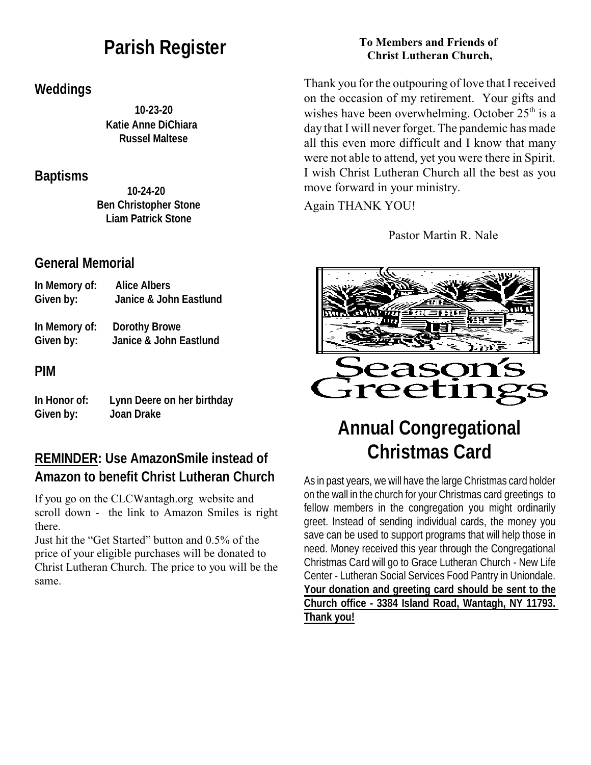## **Parish Register**

#### **Weddings**

 **10-23-20 Katie Anne DiChiara Russel Maltese**

### **Baptisms**

 **10-24-20 Ben Christopher Stone Liam Patrick Stone**

### **General Memorial**

| In Memory of: | <b>Alice Albers</b>    |
|---------------|------------------------|
| Given by:     | Janice & John Eastlund |
| In Memory of: | Dorothy Browe          |
| Given by:     | Janice & John Eastlund |

#### **PIM**

| In Honor of: | Lynn Deere on her birthday |
|--------------|----------------------------|
| Given by:    | Joan Drake                 |

### **REMINDER: Use AmazonSmile instead of Amazon to benefit Christ Lutheran Church**

If you go on the CLCWantagh.org website and scroll down - the link to Amazon Smiles is right there.

Just hit the "Get Started" button and 0.5% of the price of your eligible purchases will be donated to Christ Lutheran Church. The price to you will be the same.

#### **To Members and Friends of Christ Lutheran Church,**

Thank you for the outpouring of love that I received on the occasion of my retirement. Your gifts and wishes have been overwhelming. October 25<sup>th</sup> is a day that I will never forget. The pandemic has made all this even more difficult and I know that many were not able to attend, yet you were there in Spirit. I wish Christ Lutheran Church all the best as you move forward in your ministry.

Again THANK YOU!

Pastor Martin R. Nale



# **Annual Congregational Christmas Card**

As in past years, we will have the large Christmas card holder on the wall in the church for your Christmas card greetings to fellow members in the congregation you might ordinarily greet. Instead of sending individual cards, the money you save can be used to support programs that will help those in need. Money received this year through the Congregational Christmas Card will go to Grace Lutheran Church - New Life Center - Lutheran Social Services Food Pantry in Uniondale. **Your donation and greeting card should be sent to the Church office - 3384 Island Road, Wantagh, NY 11793. Thank you!**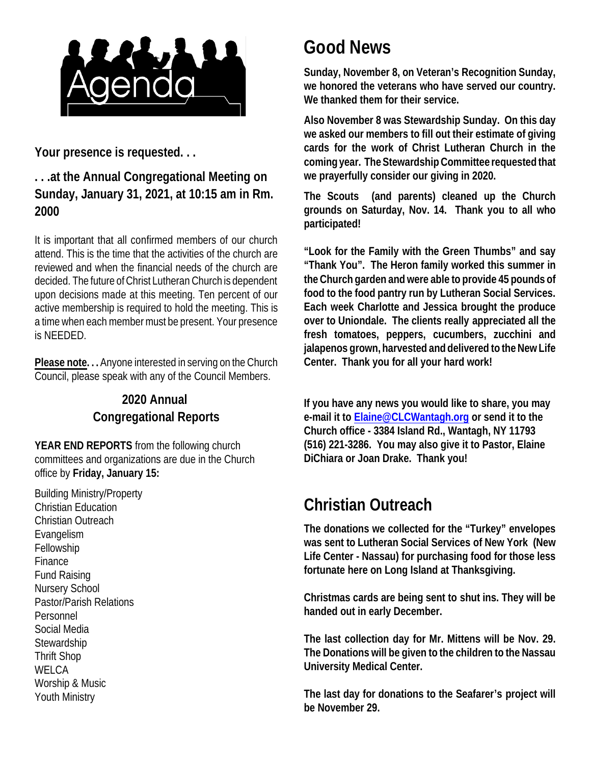

**Your presence is requested. . .**

**. . .at the Annual Congregational Meeting on Sunday, January 31, 2021, at 10:15 am in Rm. 2000**

It is important that all confirmed members of our church attend. This is the time that the activities of the church are reviewed and when the financial needs of the church are decided. The future of Christ Lutheran Church is dependent upon decisions made at this meeting. Ten percent of our active membership is required to hold the meeting. This is a time when each member must be present. Your presence is NEEDED.

**Please note. . .** Anyone interested in serving on the Church Council, please speak with any of the Council Members.

### **2020 Annual Congregational Reports**

**YEAR END REPORTS** from the following church committees and organizations are due in the Church office by **Friday, January 15:** 

Building Ministry/Property Christian Education Christian Outreach Evangelism Fellowship Finance Fund Raising Nursery School Pastor/Parish Relations Personnel Social Media **Stewardship** Thrift Shop WFI<sub>CA</sub> Worship & Music Youth Ministry

# **Good News**

**Sunday, November 8, on Veteran's Recognition Sunday, we honored the veterans who have served our country. We thanked them for their service.**

**Also November 8 was Stewardship Sunday. On this day we asked our members to fill out their estimate of giving cards for the work of Christ Lutheran Church in the comingyear. The Stewardship Committee requested that we prayerfully consider our giving in 2020.** 

**The Scouts (and parents) cleaned up the Church grounds on Saturday, Nov. 14. Thank you to all who participated!** 

**"Look for the Family with the Green Thumbs" and say "Thank You". The Heron family worked this summer in the Church garden and were able to provide 45 pounds of food to the food pantry run by Lutheran Social Services. Each week Charlotte and Jessica brought the produce over to Uniondale. The clients really appreciated all the fresh tomatoes, peppers, cucumbers, zucchini and jalapenos grown, harvested and delivered to the New Life Center. Thank you for all your hard work!** 

**If you have any news you would like to share, you may e-mail it to [Elaine@CLCWantagh.org](mailto:Elaine@CLCWantagh.org) or send it to the Church office - 3384 Island Rd., Wantagh, NY 11793 (516) 221-3286. You may also give it to Pastor, Elaine DiChiara or Joan Drake. Thank you!** 

## **Christian Outreach**

**The donations we collected for the "Turkey" envelopes was sent to Lutheran Social Services of New York (New Life Center - Nassau) for purchasing food for those less fortunate here on Long Island at Thanksgiving.**

**Christmas cards are being sent to shut ins. They will be handed out in early December.**

**The last collection day for Mr. Mittens will be Nov. 29. The Donations will be given to the children to the Nassau University Medical Center.**

**The last day for donations to the Seafarer's project will be November 29.**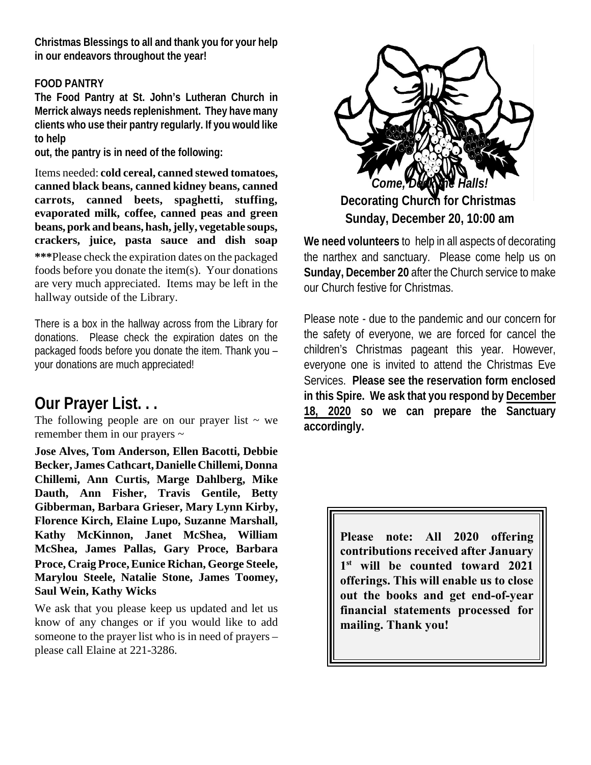**Christmas Blessings to all and thank you for your help in our endeavors throughout the year!**

#### **FOOD PANTRY**

**The Food Pantry at St. John's Lutheran Church in Merrick always needs replenishment. They have many clients who use their pantry regularly. If you would like to help**

**out, the pantry is in need of the following:**

Items needed: **cold cereal, canned stewed tomatoes, canned black beans, canned kidney beans, canned carrots, canned beets, spaghetti, stuffing, evaporated milk, coffee, canned peas and green beans, porkand beans, hash, jelly, vegetable soups, crackers, juice, pasta sauce and dish soap \*\*\***Please check the expiration dates on the packaged foods before you donate the item(s). Your donations are very much appreciated. Items may be left in the hallway outside of the Library.

There is a box in the hallway across from the Library for donations. Please check the expiration dates on the packaged foods before you donate the item. Thank you – your donations are much appreciated!

### **Our Prayer List. . .**

The following people are on our prayer list  $\sim$  we remember them in our prayers  $\sim$ 

**Jose Alves, Tom Anderson, Ellen Bacotti, Debbie Becker, James Cathcart, Danielle Chillemi, Donna Chillemi, Ann Curtis, Marge Dahlberg, Mike Dauth, Ann Fisher, Travis Gentile, Betty Gibberman, Barbara Grieser, Mary Lynn Kirby, Florence Kirch, Elaine Lupo, Suzanne Marshall, Kathy McKinnon, Janet McShea, William McShea, James Pallas, Gary Proce, Barbara Proce, Craig Proce, Eunice Richan, George Steele, Marylou Steele, Natalie Stone, James Toomey, Saul Wein, Kathy Wicks**

We ask that you please keep us updated and let us know of any changes or if you would like to add someone to the prayer list who is in need of prayers – please call Elaine at 221-3286.



**We need volunteers** to help in all aspects of decorating the narthex and sanctuary. Please come help us on **Sunday, December 20** after the Church service to make our Church festive for Christmas.

Please note - due to the pandemic and our concern for the safety of everyone, we are forced for cancel the children's Christmas pageant this year. However, everyone one is invited to attend the Christmas Eve Services. **Please see the reservation form enclosed in this Spire. We ask that you respond by December 18, 2020 so we can prepare the Sanctuary accordingly.** 

> **Please note: All 2020 offering contributions received after January 1 st will be counted toward 2021 offerings. This will enable us to close out the books and get end-of-year financial statements processed for mailing. Thank you!**